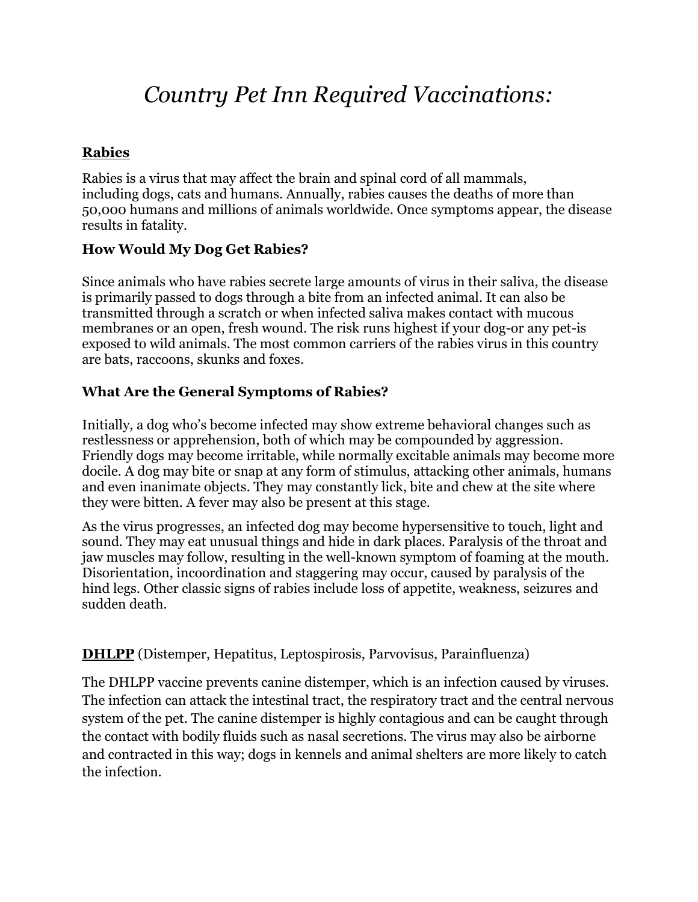# *Country Pet Inn Required Vaccinations:*

# **Rabies**

[Rabies](http://pets.webmd.com/dogs/rabies-dogs) is a virus that may affect the brain and spinal cord of all mammals, including [dogs,](http://pets.webmd.com/dogs/default.htm) cats and humans. Annually, rabies causes the deaths of more than 50,000 humans and millions of animals worldwide. Once symptoms appear, the disease results in fatality.

## **How Would My Dog Get Rabies?**

Since animals who have rabies secrete large amounts of virus in their saliva, the disease is primarily passed to [dogs](http://pets.webmd.com/dogs/ss/slideshow-is-my-dog-normal) through a bite from an infected animal. It can also be transmitted through a scratch or when infected saliva makes contact with mucous membranes or an open, fresh wound. The risk runs highest if your [dog-](http://pets.webmd.com/dogs/dog-breeds-rm-quiz)or any pet-is exposed to wild animals. The most common carriers of the rabies virus in this country are bats, raccoons, skunks and foxes.

## **What Are the General Symptoms of Rabies?**

Initially, a dog who's become infected may show extreme behavioral changes such as restlessness or apprehension, both of which may be compounded by [aggression.](http://pets.webmd.com/dogs/guide/aggression-dogs) Friendly dogs may become irritable, while normally excitable animals may become more docile. A dog may bite or snap at any form of stimulus, attacking other animals, humans and even inanimate objects. They may constantly lick, bite and chew at the site where they were bitten. A [fever](http://pets.webmd.com/dogs/high-fever-in-dogs) may also be present at this stage.

As the virus progresses, an infected dog may become hypersensitive to touch, light and sound. They may eat unusual things and hide in dark places. Paralysis of the throat and jaw muscles may follow, resulting in the well-known symptom of foaming at the mouth. Disorientation, incoordination and staggering may occur, caused by paralysis of the hind legs. Other classic signs of rabies include loss of appetite, weakness, [seizures](http://pets.webmd.com/dog-seizure-disorders) and sudden death.

### **DHLPP** (Distemper, Hepatitus, Leptospirosis, Parvovisus, Parainfluenza)

The DHLPP vaccine prevents canine distemper, which is an infection caused by viruses. The infection can attack the intestinal tract, the respiratory tract and the central nervous system of the pet. The canine distemper is highly contagious and can be caught through the contact with bodily fluids such as nasal secretions. The virus may also be airborne and contracted in this way; dogs in kennels and animal shelters are more likely to catch the infection.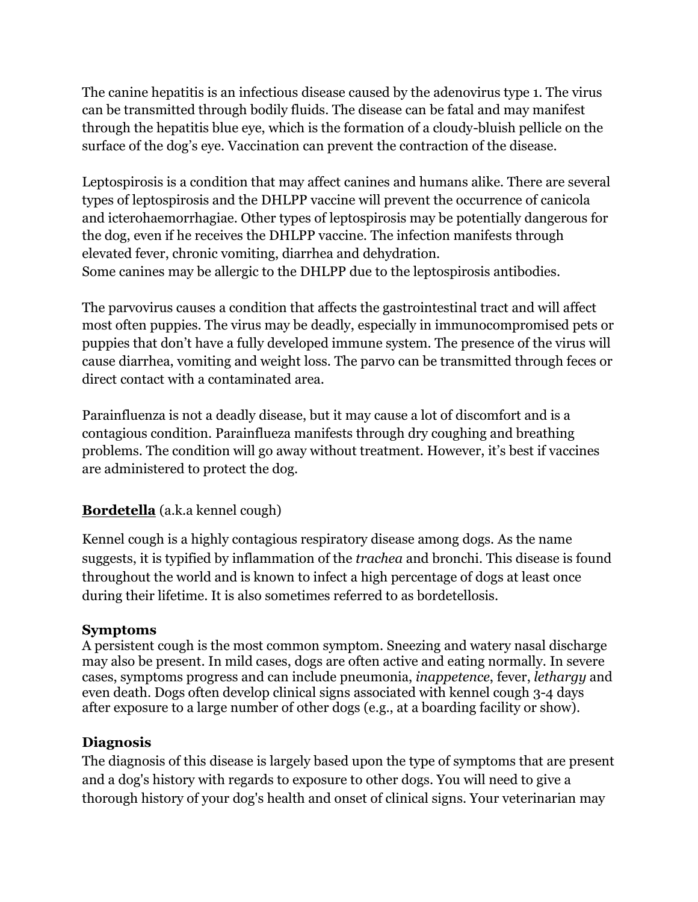The canine hepatitis is an infectious disease caused by the adenovirus type 1. The virus can be transmitted through bodily fluids. The disease can be fatal and may manifest through the hepatitis blue eye, which is the formation of a cloudy-bluish pellicle on the surface of the dog's eye. Vaccination can prevent the contraction of the disease.

Leptospirosis is a condition that may affect canines and humans alike. There are several types of leptospirosis and the DHLPP vaccine will prevent the occurrence of canicola and icterohaemorrhagiae. Other types of leptospirosis may be potentially dangerous for the dog, even if he receives the DHLPP vaccine. The infection manifests through elevated fever, chronic vomiting, diarrhea and dehydration. Some canines may be allergic to the DHLPP due to the leptospirosis antibodies.

The parvovirus causes a condition that affects the gastrointestinal tract and will affect most often puppies. The virus may be deadly, especially in immunocompromised pets or puppies that don't have a fully developed immune system. The presence of the virus will cause diarrhea, vomiting and weight loss. The parvo can be transmitted through feces or direct contact with a contaminated area.

Parainfluenza is not a deadly disease, but it may cause a lot of discomfort and is a contagious condition. Parainflueza manifests through dry coughing and breathing problems. The condition will go away without treatment. However, it's best if vaccines are administered to protect the dog.

# **Bordetella** (a.k.a kennel cough)

Kennel cough is a highly contagious respiratory disease among dogs. As the name suggests, it is typified by inflammation of the *trachea* and bronchi. This disease is found throughout the world and is known to infect a high percentage of dogs at least once during their lifetime. It is also sometimes referred to as bordetellosis.

### **Symptoms**

A persistent cough is the most common symptom. Sneezing and watery nasal discharge may also be present. In mild cases, dogs are often active and eating normally. In severe cases, symptoms progress and can include [pneumonia,](http://www.petmd.com/dog/conditions/respiratory/c_multi_pneumonia_bacterial) *inappetence*, [fever,](http://www.petmd.com/dog/conditions/immune/c_dg_fever) *lethargy* and even death. Dogs often develop clinical signs associated with kennel cough 3-4 days after exposure to a large number of other dogs (e.g., at a boarding facility or show).

# **Diagnosis**

The diagnosis of this disease is largely based upon the type of symptoms that are present and a dog's history with regards to exposure to other dogs. You will need to give a thorough history of your dog's health and onset of clinical signs. Your veterinarian may